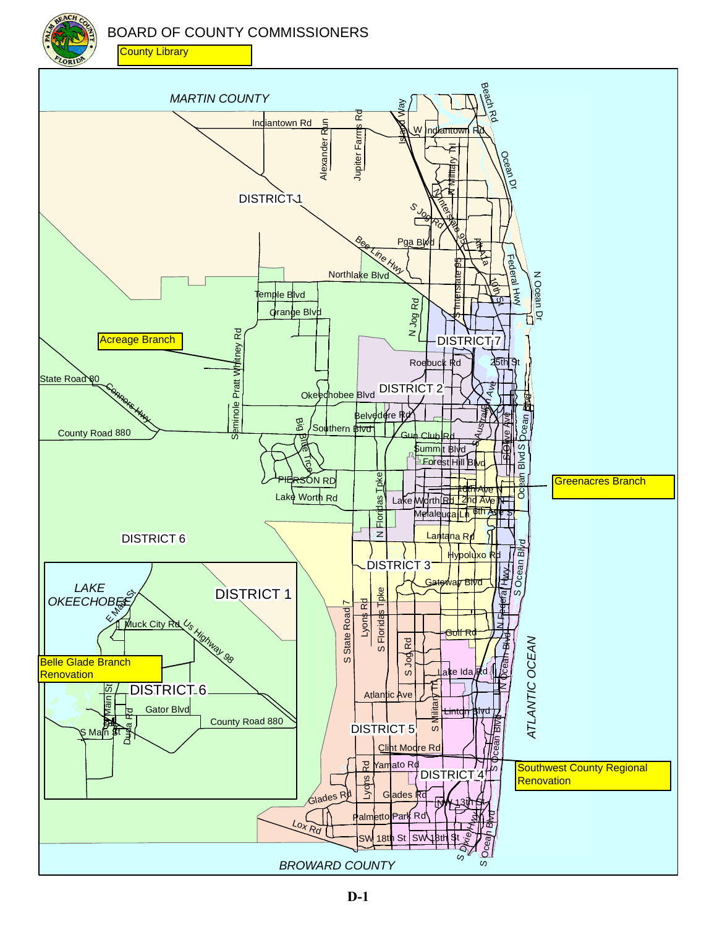BOARD OF COUNTY COMMISSIONERS

**County Library** 

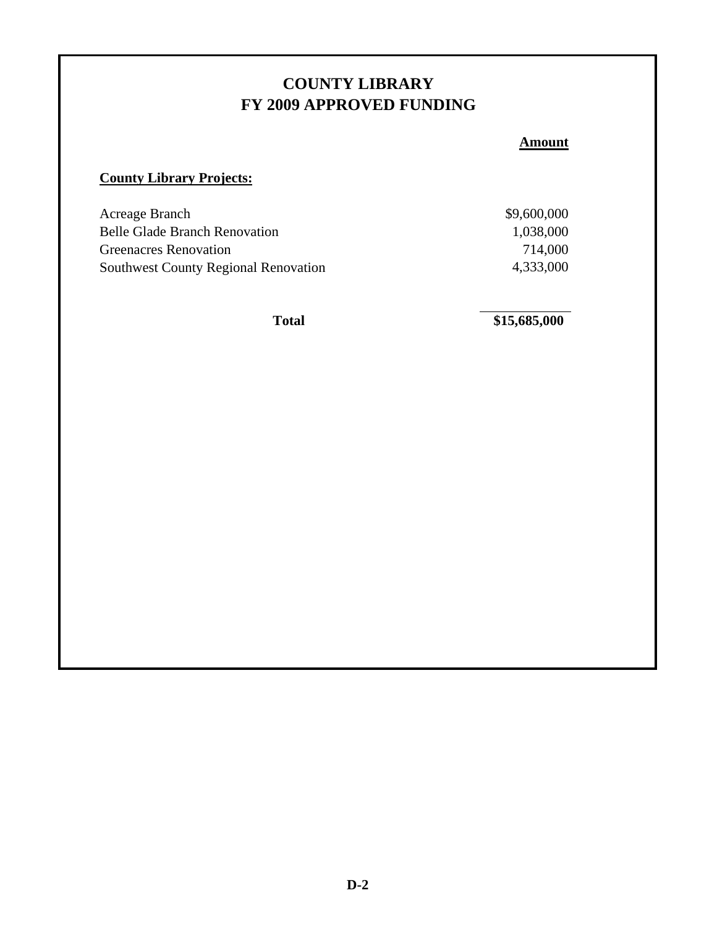#### **COUNTY LIBRARY FY 2009 APPROVED FUNDING**

**Amount**

#### **County Library Projects:**

| Acreage Branch                              | \$9,600,000 |
|---------------------------------------------|-------------|
| <b>Belle Glade Branch Renovation</b>        | 1,038,000   |
| <b>Greenacres Renovation</b>                | 714,000     |
| <b>Southwest County Regional Renovation</b> | 4,333,000   |

Total \$15,685,000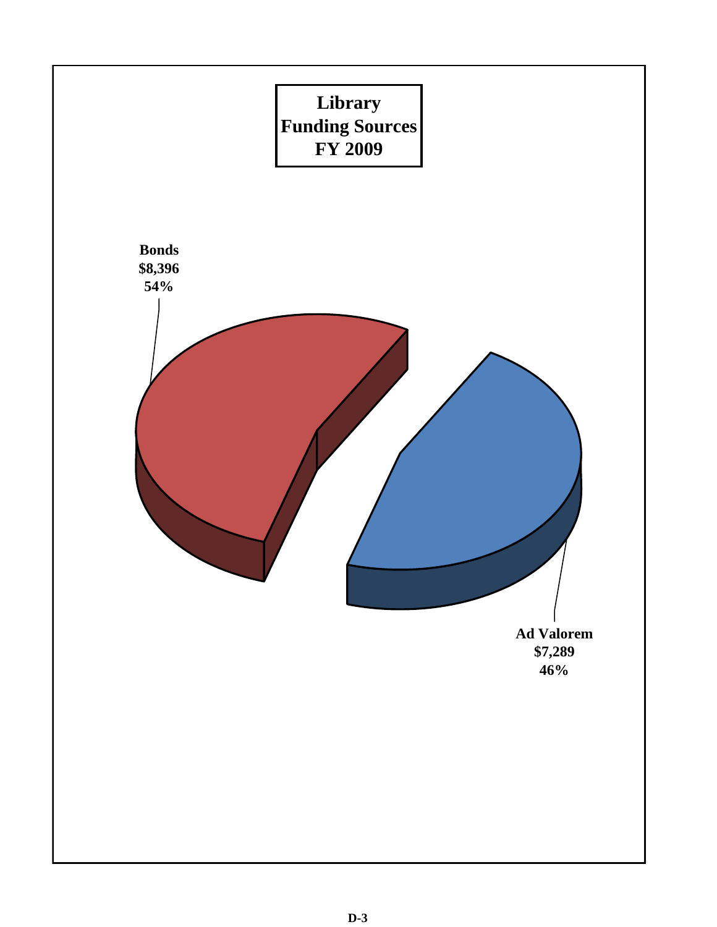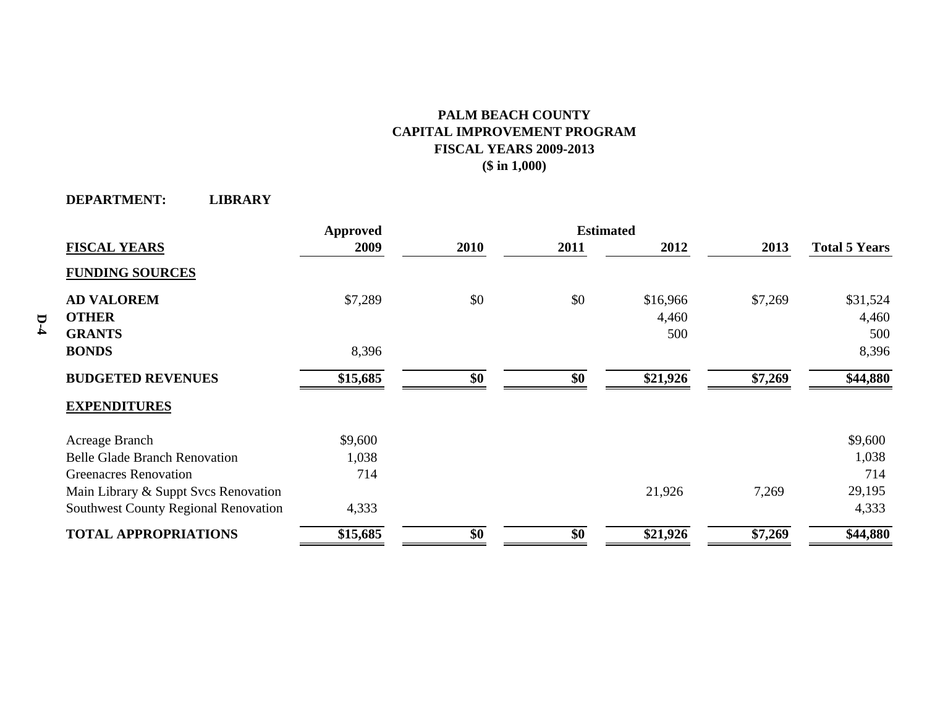#### **PALM BEACH COUNTY CAPITAL IMPROVEMENT PROGRAM FISCAL YEARS 2009-2013 (\$ in 1,000)**

**DEPARTMENT: LIBRARY**

|                                             | <b>Approved</b> |      | <b>Estimated</b> |          |         |                      |
|---------------------------------------------|-----------------|------|------------------|----------|---------|----------------------|
| <b>FISCAL YEARS</b>                         | 2009            | 2010 | 2011             | 2012     | 2013    | <b>Total 5 Years</b> |
| <b>FUNDING SOURCES</b>                      |                 |      |                  |          |         |                      |
| <b>AD VALOREM</b>                           | \$7,289         | \$0  | \$0              | \$16,966 | \$7,269 | \$31,524             |
| <b>OTHER</b>                                |                 |      |                  | 4,460    |         | 4,460                |
| <b>GRANTS</b>                               |                 |      |                  | 500      |         | 500                  |
| <b>BONDS</b>                                | 8,396           |      |                  |          |         | 8,396                |
| <b>BUDGETED REVENUES</b>                    | \$15,685        | \$0  | \$0              | \$21,926 | \$7,269 | \$44,880             |
| <b>EXPENDITURES</b>                         |                 |      |                  |          |         |                      |
| Acreage Branch                              | \$9,600         |      |                  |          |         | \$9,600              |
| <b>Belle Glade Branch Renovation</b>        | 1,038           |      |                  |          |         | 1,038                |
| <b>Greenacres Renovation</b>                | 714             |      |                  |          |         | 714                  |
| Main Library & Suppt Svcs Renovation        |                 |      |                  | 21,926   | 7,269   | 29,195               |
| <b>Southwest County Regional Renovation</b> | 4,333           |      |                  |          |         | 4,333                |
| <b>TOTAL APPROPRIATIONS</b>                 | \$15,685        | \$0  | \$0              | \$21,926 | \$7,269 | \$44,880             |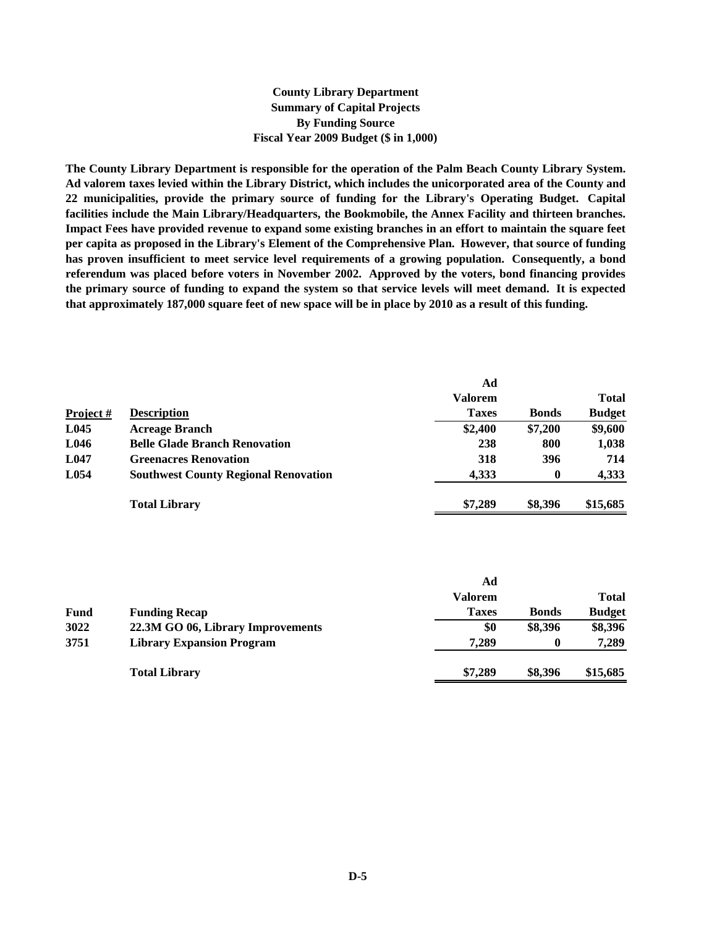#### **County Library Department Summary of Capital Projects By Funding Source Fiscal Year 2009 Budget (\$ in 1,000)**

**The County Library Department is responsible for the operation of the Palm Beach County Library System. Ad valorem taxes levied within the Library District, which includes the unicorporated area of the County and 22 municipalities, provide the primary source of funding for the Library's Operating Budget. Capital facilities include the Main Library/Headquarters, the Bookmobile, the Annex Facility and thirteen branches. Impact Fees have provided revenue to expand some existing branches in an effort to maintain the square feet per capita as proposed in the Library's Element of the Comprehensive Plan. However, that source of funding has proven insufficient to meet service level requirements of a growing population. Consequently, a bond referendum was placed before voters in November 2002. Approved by the voters, bond financing provides the primary source of funding to expand the system so that service levels will meet demand. It is expected that approximately 187,000 square feet of new space will be in place by 2010 as a result of this funding.**

|          |                                             | Ad             |                  |               |
|----------|---------------------------------------------|----------------|------------------|---------------|
|          |                                             | <b>Valorem</b> |                  | <b>Total</b>  |
| Project# | <b>Description</b>                          | <b>Taxes</b>   | <b>Bonds</b>     | <b>Budget</b> |
| L045     | <b>Acreage Branch</b>                       | \$2,400        | \$7,200          | \$9,600       |
| L046     | <b>Belle Glade Branch Renovation</b>        | 238            | 800              | 1,038         |
| L047     | <b>Greenacres Renovation</b>                | 318            | 396              | 714           |
| L054     | <b>Southwest County Regional Renovation</b> | 4.333          | $\boldsymbol{0}$ | 4,333         |
|          | <b>Total Library</b>                        | \$7,289        | \$8,396          | \$15,685      |

|      |                                   | Αd           |              |               |
|------|-----------------------------------|--------------|--------------|---------------|
|      |                                   | Valorem      |              | <b>Total</b>  |
| Fund | <b>Funding Recap</b>              | <b>Taxes</b> | <b>Bonds</b> | <b>Budget</b> |
| 3022 | 22.3M GO 06, Library Improvements | \$0          | \$8,396      | \$8,396       |
| 3751 | <b>Library Expansion Program</b>  | 7.289        | $\bf{0}$     | 7,289         |
|      | <b>Total Library</b>              | \$7,289      | \$8,396      | \$15,685      |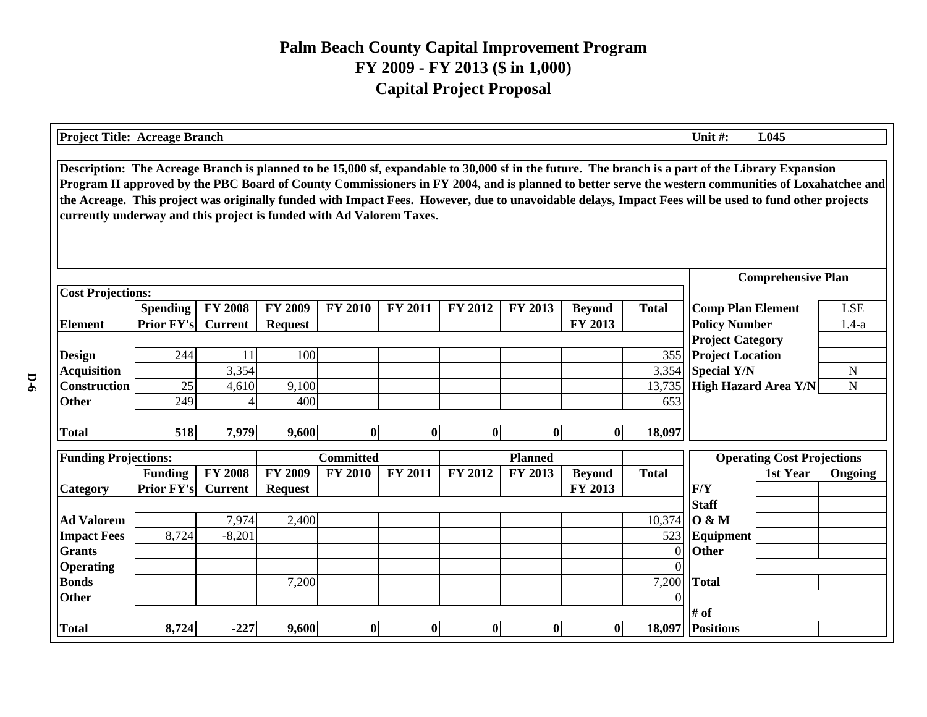| <b>Project Title: Acreage Branch</b>                                                                                                                                                                                                                                                                                                                                                                                                                                                                                                    |                                      |                |                           |                  |                |                |                  |                          |              | Unit #:                                          | L045     |                       |
|-----------------------------------------------------------------------------------------------------------------------------------------------------------------------------------------------------------------------------------------------------------------------------------------------------------------------------------------------------------------------------------------------------------------------------------------------------------------------------------------------------------------------------------------|--------------------------------------|----------------|---------------------------|------------------|----------------|----------------|------------------|--------------------------|--------------|--------------------------------------------------|----------|-----------------------|
| Description: The Acreage Branch is planned to be 15,000 sf, expandable to 30,000 sf in the future. The branch is a part of the Library Expansion<br>Program II approved by the PBC Board of County Commissioners in FY 2004, and is planned to better serve the western communities of Loxahatchee and<br>the Acreage. This project was originally funded with Impact Fees. However, due to unavoidable delays, Impact Fees will be used to fund other projects<br>currently underway and this project is funded with Ad Valorem Taxes. |                                      |                |                           |                  |                |                |                  |                          |              |                                                  |          |                       |
|                                                                                                                                                                                                                                                                                                                                                                                                                                                                                                                                         |                                      |                | <b>Comprehensive Plan</b> |                  |                |                |                  |                          |              |                                                  |          |                       |
| <b>Cost Projections:</b>                                                                                                                                                                                                                                                                                                                                                                                                                                                                                                                |                                      |                |                           |                  |                |                |                  |                          |              |                                                  |          |                       |
|                                                                                                                                                                                                                                                                                                                                                                                                                                                                                                                                         | <b>Spending</b><br><b>Prior FY's</b> | <b>FY 2008</b> | <b>FY 2009</b>            | <b>FY 2010</b>   | <b>FY 2011</b> | <b>FY 2012</b> | <b>FY 2013</b>   | <b>Beyond</b><br>FY 2013 | <b>Total</b> | <b>Comp Plan Element</b><br><b>Policy Number</b> |          | <b>LSE</b><br>$1.4-a$ |
| <b>Element</b>                                                                                                                                                                                                                                                                                                                                                                                                                                                                                                                          |                                      | <b>Current</b> | <b>Request</b>            |                  |                |                |                  |                          |              | <b>Project Category</b>                          |          |                       |
| <b>Design</b>                                                                                                                                                                                                                                                                                                                                                                                                                                                                                                                           | 244                                  | 11             | 100                       |                  |                |                |                  |                          | 355          | <b>Project Location</b>                          |          |                       |
| <b>Acquisition</b>                                                                                                                                                                                                                                                                                                                                                                                                                                                                                                                      |                                      | 3,354          |                           |                  |                |                |                  |                          | 3,354        | <b>Special Y/N</b>                               |          | ${\bf N}$             |
| <b>Construction</b>                                                                                                                                                                                                                                                                                                                                                                                                                                                                                                                     | 25                                   | 4,610          | 9,100                     |                  |                |                |                  |                          | 13,735       | <b>High Hazard Area Y/N</b>                      |          | $\mathbf N$           |
| <b>Other</b>                                                                                                                                                                                                                                                                                                                                                                                                                                                                                                                            | 249                                  | $\overline{4}$ | 400                       |                  |                |                |                  |                          | 653          |                                                  |          |                       |
|                                                                                                                                                                                                                                                                                                                                                                                                                                                                                                                                         |                                      |                |                           |                  |                |                |                  |                          |              |                                                  |          |                       |
| <b>Total</b>                                                                                                                                                                                                                                                                                                                                                                                                                                                                                                                            | 518                                  | 7,979          | 9,600                     | $\bf{0}$         | $\mathbf{0}$   | $\bf{0}$       | $\mathbf{0}$     | $\mathbf{0}$             | 18,097       |                                                  |          |                       |
| <b>Funding Projections:</b>                                                                                                                                                                                                                                                                                                                                                                                                                                                                                                             |                                      |                |                           | <b>Committed</b> |                |                | <b>Planned</b>   |                          |              | <b>Operating Cost Projections</b>                |          |                       |
|                                                                                                                                                                                                                                                                                                                                                                                                                                                                                                                                         | <b>Funding</b>                       | <b>FY 2008</b> | <b>FY 2009</b>            | <b>FY 2010</b>   | FY 2011        | <b>FY 2012</b> | FY 2013          | <b>Beyond</b>            | <b>Total</b> |                                                  | 1st Year | Ongoing               |
| <b>Category</b>                                                                                                                                                                                                                                                                                                                                                                                                                                                                                                                         | <b>Prior FY's</b>                    | <b>Current</b> | <b>Request</b>            |                  |                |                |                  | FY 2013                  |              | F/Y                                              |          |                       |
|                                                                                                                                                                                                                                                                                                                                                                                                                                                                                                                                         |                                      |                |                           |                  |                |                |                  |                          |              | <b>Staff</b>                                     |          |                       |
| <b>Ad Valorem</b>                                                                                                                                                                                                                                                                                                                                                                                                                                                                                                                       |                                      | 7,974          | 2,400                     |                  |                |                |                  |                          | 10,374       | 0 & M                                            |          |                       |
| <b>Impact Fees</b>                                                                                                                                                                                                                                                                                                                                                                                                                                                                                                                      | 8,724                                | $-8,201$       |                           |                  |                |                |                  |                          | 523          | Equipment                                        |          |                       |
| <b>Grants</b>                                                                                                                                                                                                                                                                                                                                                                                                                                                                                                                           |                                      |                |                           |                  |                |                |                  |                          | $\Omega$     | <b>Other</b>                                     |          |                       |
| <b>Operating</b>                                                                                                                                                                                                                                                                                                                                                                                                                                                                                                                        |                                      |                |                           |                  |                |                |                  |                          |              |                                                  |          |                       |
| <b>Bonds</b>                                                                                                                                                                                                                                                                                                                                                                                                                                                                                                                            |                                      |                | 7,200                     |                  |                |                |                  |                          | 7,200        | Total                                            |          |                       |
| <b>Other</b>                                                                                                                                                                                                                                                                                                                                                                                                                                                                                                                            |                                      |                |                           |                  |                |                |                  |                          |              |                                                  |          |                       |
|                                                                                                                                                                                                                                                                                                                                                                                                                                                                                                                                         |                                      |                |                           |                  |                |                |                  |                          |              | # of                                             |          |                       |
| <b>Total</b>                                                                                                                                                                                                                                                                                                                                                                                                                                                                                                                            | 8,724                                | $-227$         | 9,600                     | $\bf{0}$         | $\bf{0}$       | 0              | $\boldsymbol{0}$ | 0                        | 18,097       | <b>Positions</b>                                 |          |                       |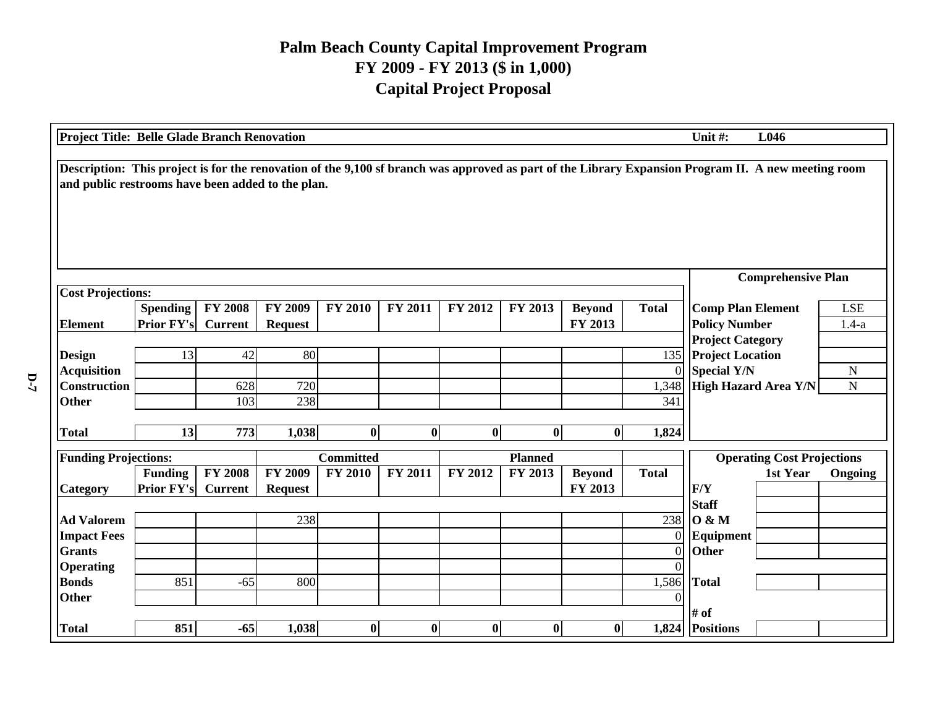| L046<br><b>Project Title: Belle Glade Branch Renovation</b><br>Unit #:                                                                                                                                   |                                      |                                  |                                  |                  |          |                |                |                          |                |                                                  |           |                       |
|----------------------------------------------------------------------------------------------------------------------------------------------------------------------------------------------------------|--------------------------------------|----------------------------------|----------------------------------|------------------|----------|----------------|----------------|--------------------------|----------------|--------------------------------------------------|-----------|-----------------------|
| Description: This project is for the renovation of the 9,100 sf branch was approved as part of the Library Expansion Program II. A new meeting room<br>and public restrooms have been added to the plan. |                                      |                                  |                                  |                  |          |                |                |                          |                |                                                  |           |                       |
|                                                                                                                                                                                                          |                                      |                                  | <b>Comprehensive Plan</b>        |                  |          |                |                |                          |                |                                                  |           |                       |
| <b>Cost Projections:</b>                                                                                                                                                                                 |                                      |                                  |                                  |                  |          |                |                |                          |                |                                                  |           |                       |
| <b>Element</b>                                                                                                                                                                                           | <b>Spending</b><br><b>Prior FY's</b> | <b>FY 2008</b><br><b>Current</b> | <b>FY 2009</b><br><b>Request</b> | <b>FY 2010</b>   | FY 2011  | FY 2012        | FY 2013        | <b>Beyond</b><br>FY 2013 | <b>Total</b>   | <b>Comp Plan Element</b><br><b>Policy Number</b> |           | <b>LSE</b><br>$1.4-a$ |
|                                                                                                                                                                                                          |                                      |                                  |                                  |                  |          |                |                |                          |                | <b>Project Category</b>                          |           |                       |
| <b>Design</b>                                                                                                                                                                                            | 13                                   | 42                               | 80                               |                  |          |                |                |                          | 135            | <b>Project Location</b>                          |           |                       |
| <b>Acquisition</b>                                                                                                                                                                                       |                                      |                                  |                                  |                  |          |                |                |                          | 0              | <b>Special Y/N</b>                               | ${\bf N}$ |                       |
| <b>Construction</b>                                                                                                                                                                                      |                                      | 628                              | 720                              |                  |          |                |                |                          | 1,348          | High Hazard Area Y/N                             |           | $\mathbf N$           |
| <b>Other</b>                                                                                                                                                                                             |                                      | 103                              | 238                              |                  |          |                |                |                          | 341            |                                                  |           |                       |
|                                                                                                                                                                                                          |                                      |                                  |                                  |                  |          |                |                |                          |                |                                                  |           |                       |
| <b>Total</b>                                                                                                                                                                                             | 13                                   | 773                              | 1,038                            | $\bf{0}$         | $\bf{0}$ | $\bf{0}$       | $\bf{0}$       | $\mathbf{0}$             | 1,824          |                                                  |           |                       |
| <b>Funding Projections:</b>                                                                                                                                                                              |                                      |                                  |                                  | <b>Committed</b> |          |                | <b>Planned</b> |                          |                | <b>Operating Cost Projections</b>                |           |                       |
|                                                                                                                                                                                                          | <b>Funding</b>                       | <b>FY 2008</b>                   | <b>FY 2009</b>                   | <b>FY 2010</b>   | FY 2011  | <b>FY 2012</b> | FY 2013        | <b>Beyond</b>            | <b>Total</b>   |                                                  | 1st Year  | Ongoing               |
| <b>Category</b>                                                                                                                                                                                          | <b>Prior FY's</b>                    | <b>Current</b>                   | <b>Request</b>                   |                  |          |                |                | FY 2013                  |                | F/Y                                              |           |                       |
|                                                                                                                                                                                                          |                                      |                                  |                                  |                  |          |                |                |                          |                | <b>Staff</b>                                     |           |                       |
| <b>Ad Valorem</b>                                                                                                                                                                                        |                                      |                                  | 238                              |                  |          |                |                |                          | 238            | <b>O</b> & M                                     |           |                       |
| <b>Impact Fees</b>                                                                                                                                                                                       |                                      |                                  |                                  |                  |          |                |                |                          | $\overline{0}$ | Equipment                                        |           |                       |
| <b>Grants</b>                                                                                                                                                                                            |                                      |                                  |                                  |                  |          |                |                |                          |                | Other                                            |           |                       |
| <b>Operating</b>                                                                                                                                                                                         |                                      |                                  |                                  |                  |          |                |                |                          |                |                                                  |           |                       |
| <b>Bonds</b>                                                                                                                                                                                             | 851                                  | $-65$                            | 800                              |                  |          |                |                |                          | 1,586          | Total                                            |           |                       |
| <b>Other</b>                                                                                                                                                                                             |                                      |                                  |                                  |                  |          |                |                |                          |                |                                                  |           |                       |
|                                                                                                                                                                                                          |                                      |                                  |                                  |                  |          |                |                |                          |                | $#$ of                                           |           |                       |
| <b>Total</b>                                                                                                                                                                                             | 851                                  | $-65$                            | 1,038                            | $\bf{0}$         | $\bf{0}$ | $\bf{0}$       | $\bf{0}$       | 0                        |                | 1,824 Positions                                  |           |                       |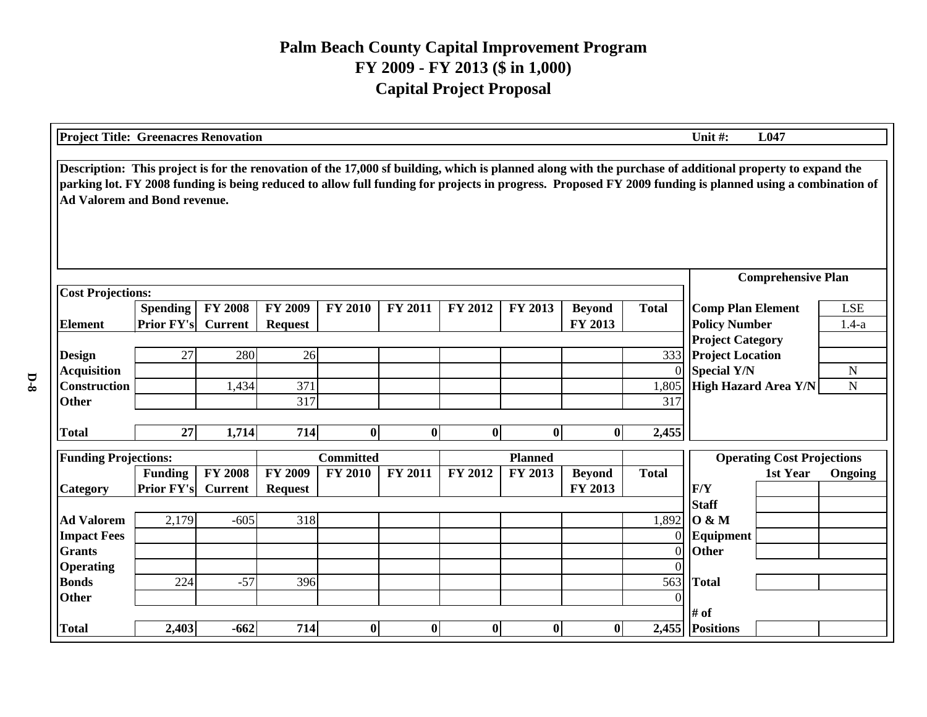| <b>Project Title: Greenacres Renovation</b>                                                                                                                                                                                                                                                                                                                 |                                       |                                  |                                  |                  |                |          |                  |                          |                            | Unit#:                                                                   | L047                                             |           |
|-------------------------------------------------------------------------------------------------------------------------------------------------------------------------------------------------------------------------------------------------------------------------------------------------------------------------------------------------------------|---------------------------------------|----------------------------------|----------------------------------|------------------|----------------|----------|------------------|--------------------------|----------------------------|--------------------------------------------------------------------------|--------------------------------------------------|-----------|
| Description: This project is for the renovation of the 17,000 sf building, which is planned along with the purchase of additional property to expand the<br>parking lot. FY 2008 funding is being reduced to allow full funding for projects in progress. Proposed FY 2009 funding is planned using a combination of<br><b>Ad Valorem and Bond revenue.</b> |                                       |                                  |                                  |                  |                |          |                  |                          |                            |                                                                          |                                                  |           |
|                                                                                                                                                                                                                                                                                                                                                             |                                       |                                  | <b>Comprehensive Plan</b>        |                  |                |          |                  |                          |                            |                                                                          |                                                  |           |
| <b>Cost Projections:</b><br><b>Element</b>                                                                                                                                                                                                                                                                                                                  | <b>Spending</b><br>Prior FY's Current | <b>FY 2008</b>                   | <b>FY 2009</b><br><b>Request</b> | <b>FY 2010</b>   | <b>FY 2011</b> | FY 2012  | FY 2013          | <b>Beyond</b><br>FY 2013 | <b>Total</b>               |                                                                          | <b>Comp Plan Element</b><br><b>Policy Number</b> |           |
| <b>Design</b><br><b>Acquisition</b>                                                                                                                                                                                                                                                                                                                         | 27                                    | 280                              | 26                               |                  |                |          |                  |                          | 333<br>$\overline{0}$      | <b>Project Category</b><br><b>Project Location</b><br><b>Special Y/N</b> |                                                  | ${\bf N}$ |
| <b>Construction</b><br>Other                                                                                                                                                                                                                                                                                                                                |                                       | 1,434                            | 371<br>317                       |                  |                |          |                  |                          | 1,805<br>317               | <b>High Hazard Area Y/N</b>                                              |                                                  | ${\bf N}$ |
| <b>Total</b>                                                                                                                                                                                                                                                                                                                                                | 27                                    | 1,714                            | 714                              | $\bf{0}$         | $\bf{0}$       | $\bf{0}$ | $\boldsymbol{0}$ | $\bf{0}$                 | 2,455                      |                                                                          |                                                  |           |
| <b>Funding Projections:</b>                                                                                                                                                                                                                                                                                                                                 |                                       |                                  |                                  | <b>Committed</b> |                |          | <b>Planned</b>   |                          |                            | <b>Operating Cost Projections</b>                                        |                                                  |           |
| Category                                                                                                                                                                                                                                                                                                                                                    | <b>Funding</b><br><b>Prior FY's</b>   | <b>FY 2008</b><br><b>Current</b> | <b>FY 2009</b><br><b>Request</b> | <b>FY 2010</b>   | <b>FY 2011</b> | FY 2012  | FY 2013          | <b>Beyond</b><br>FY 2013 | <b>Total</b>               | F/Y                                                                      | 1st Year                                         | Ongoing   |
| <b>Ad Valorem</b>                                                                                                                                                                                                                                                                                                                                           | 2,179                                 | $-605$                           | 318                              |                  |                |          |                  |                          | 1,892                      | <b>Staff</b><br><b>O</b> & M                                             |                                                  |           |
| <b>Impact Fees</b><br><b>Grants</b>                                                                                                                                                                                                                                                                                                                         |                                       |                                  |                                  |                  |                |          |                  |                          | $\overline{0}$<br>$\Omega$ | Equipment<br>Other                                                       |                                                  |           |
| <b>Operating</b><br><b>Bonds</b>                                                                                                                                                                                                                                                                                                                            | 224                                   | $-57$                            | 396                              |                  |                |          |                  |                          | 563                        | <b>Total</b>                                                             |                                                  |           |
| Other                                                                                                                                                                                                                                                                                                                                                       |                                       |                                  |                                  |                  |                |          |                  |                          | $\Omega$                   | # of                                                                     |                                                  |           |
| <b>Total</b>                                                                                                                                                                                                                                                                                                                                                | 2,403                                 | $-662$                           | 714                              | $\bf{0}$         | $\bf{0}$       | $\bf{0}$ | $\bf{0}$         | $\bf{0}$                 |                            | 2,455 Positions                                                          |                                                  |           |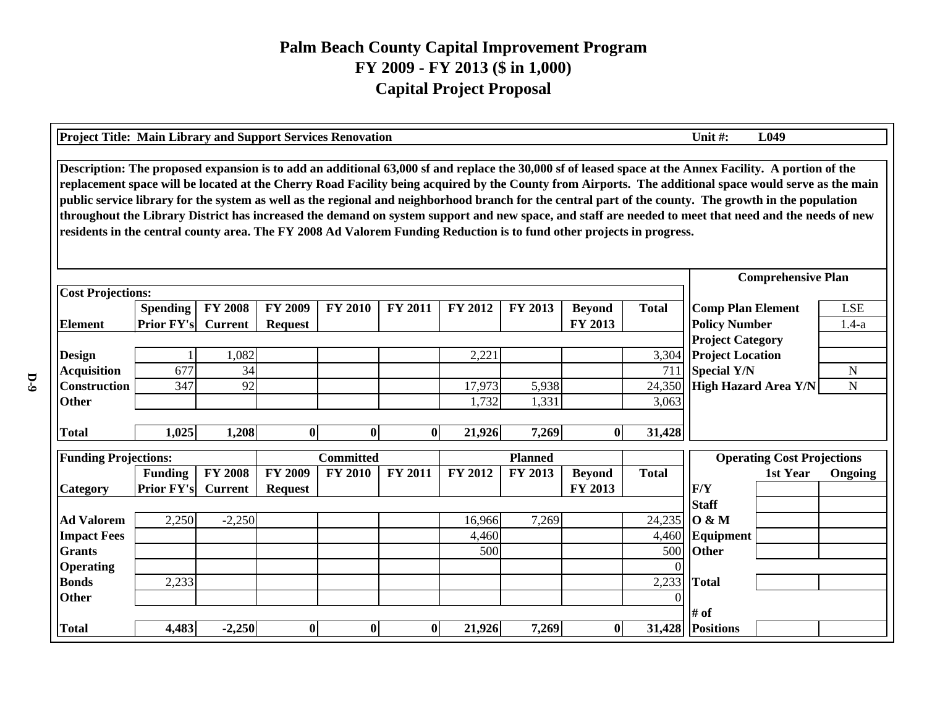| <b>Project Title: Main Library and Support Services Renovation</b><br>Unit #:<br>L <sub>049</sub>                                                                                                                                                                                                                                                                                                                                                                                                                                                                                                                                                                                                                                                             |                                       |                |                                  |                  |              |                |         |                          |              |                                                  |                       |             |
|---------------------------------------------------------------------------------------------------------------------------------------------------------------------------------------------------------------------------------------------------------------------------------------------------------------------------------------------------------------------------------------------------------------------------------------------------------------------------------------------------------------------------------------------------------------------------------------------------------------------------------------------------------------------------------------------------------------------------------------------------------------|---------------------------------------|----------------|----------------------------------|------------------|--------------|----------------|---------|--------------------------|--------------|--------------------------------------------------|-----------------------|-------------|
| Description: The proposed expansion is to add an additional 63,000 sf and replace the 30,000 sf of leased space at the Annex Facility. A portion of the<br>replacement space will be located at the Cherry Road Facility being acquired by the County from Airports. The additional space would serve as the main<br>public service library for the system as well as the regional and neighborhood branch for the central part of the county. The growth in the population<br>throughout the Library District has increased the demand on system support and new space, and staff are needed to meet that need and the needs of new<br>residents in the central county area. The FY 2008 Ad Valorem Funding Reduction is to fund other projects in progress. |                                       |                |                                  |                  |              |                |         |                          |              |                                                  |                       |             |
|                                                                                                                                                                                                                                                                                                                                                                                                                                                                                                                                                                                                                                                                                                                                                               |                                       |                | <b>Comprehensive Plan</b>        |                  |              |                |         |                          |              |                                                  |                       |             |
| <b>Cost Projections:</b>                                                                                                                                                                                                                                                                                                                                                                                                                                                                                                                                                                                                                                                                                                                                      |                                       |                |                                  |                  |              |                |         |                          |              |                                                  |                       |             |
| <b>Element</b>                                                                                                                                                                                                                                                                                                                                                                                                                                                                                                                                                                                                                                                                                                                                                | <b>Spending</b><br>Prior FY's Current | <b>FY 2008</b> | <b>FY 2009</b><br><b>Request</b> | <b>FY 2010</b>   | FY 2011      | FY 2012        | FY 2013 | <b>Beyond</b><br>FY 2013 | <b>Total</b> | <b>Comp Plan Element</b><br><b>Policy Number</b> | <b>LSE</b><br>$1.4-a$ |             |
|                                                                                                                                                                                                                                                                                                                                                                                                                                                                                                                                                                                                                                                                                                                                                               |                                       |                |                                  |                  |              |                |         |                          |              | <b>Project Category</b>                          |                       |             |
| <b>Design</b>                                                                                                                                                                                                                                                                                                                                                                                                                                                                                                                                                                                                                                                                                                                                                 |                                       | 1,082          |                                  |                  |              | 2,221          |         |                          | 3,304        | <b>Project Location</b>                          |                       |             |
| <b>Acquisition</b>                                                                                                                                                                                                                                                                                                                                                                                                                                                                                                                                                                                                                                                                                                                                            | 677                                   | 34             |                                  |                  |              |                |         |                          | 711          | <b>Special Y/N</b>                               | ${\bf N}$             |             |
| <b>Construction</b>                                                                                                                                                                                                                                                                                                                                                                                                                                                                                                                                                                                                                                                                                                                                           | 347                                   | 92             |                                  |                  |              | 17,973         | 5,938   |                          | 24,350       | <b>High Hazard Area Y/N</b>                      |                       | $\mathbf N$ |
| <b>Other</b>                                                                                                                                                                                                                                                                                                                                                                                                                                                                                                                                                                                                                                                                                                                                                  |                                       |                |                                  |                  |              | 1,732          | 1,331   |                          | 3,063        |                                                  |                       |             |
| <b>Total</b>                                                                                                                                                                                                                                                                                                                                                                                                                                                                                                                                                                                                                                                                                                                                                  | 1,025                                 | 1,208          | $\bf{0}$                         | $\bf{0}$         | $\mathbf{0}$ | 21,926         | 7,269   | $\bf{0}$                 | 31,428       |                                                  |                       |             |
|                                                                                                                                                                                                                                                                                                                                                                                                                                                                                                                                                                                                                                                                                                                                                               |                                       |                |                                  |                  |              |                |         |                          |              |                                                  |                       |             |
| <b>Funding Projections:</b>                                                                                                                                                                                                                                                                                                                                                                                                                                                                                                                                                                                                                                                                                                                                   |                                       |                |                                  | <b>Committed</b> |              | <b>Planned</b> |         |                          |              | <b>Operating Cost Projections</b>                |                       |             |
|                                                                                                                                                                                                                                                                                                                                                                                                                                                                                                                                                                                                                                                                                                                                                               | <b>Funding</b>                        | <b>FY 2008</b> | <b>FY 2009</b>                   | <b>FY 2010</b>   | FY 2011      | FY 2012        | FY 2013 | <b>Beyond</b>            | <b>Total</b> |                                                  | 1st Year              | Ongoing     |
| Category                                                                                                                                                                                                                                                                                                                                                                                                                                                                                                                                                                                                                                                                                                                                                      | <b>Prior FY's</b>                     | <b>Current</b> | <b>Request</b>                   |                  |              |                |         | FY 2013                  |              | F/Y                                              |                       |             |
|                                                                                                                                                                                                                                                                                                                                                                                                                                                                                                                                                                                                                                                                                                                                                               |                                       |                |                                  |                  |              |                |         |                          |              | <b>Staff</b>                                     |                       |             |
| <b>Ad Valorem</b>                                                                                                                                                                                                                                                                                                                                                                                                                                                                                                                                                                                                                                                                                                                                             | 2,250                                 | $-2,250$       |                                  |                  |              | 16,966         | 7,269   |                          | 24,235       | <b>O</b> & M                                     |                       |             |
| <b>Impact Fees</b><br><b>Grants</b>                                                                                                                                                                                                                                                                                                                                                                                                                                                                                                                                                                                                                                                                                                                           |                                       |                |                                  |                  |              | 4,460<br>500   |         |                          | 4,460<br>500 | Equipment<br><b>Other</b>                        |                       |             |
| <b>Operating</b>                                                                                                                                                                                                                                                                                                                                                                                                                                                                                                                                                                                                                                                                                                                                              |                                       |                |                                  |                  |              |                |         |                          |              |                                                  |                       |             |
| <b>Bonds</b>                                                                                                                                                                                                                                                                                                                                                                                                                                                                                                                                                                                                                                                                                                                                                  | 2,233                                 |                |                                  |                  |              |                |         |                          | 2,233        | <b>Total</b>                                     |                       |             |
| <b>Other</b>                                                                                                                                                                                                                                                                                                                                                                                                                                                                                                                                                                                                                                                                                                                                                  |                                       |                |                                  |                  |              |                |         |                          |              |                                                  |                       |             |
|                                                                                                                                                                                                                                                                                                                                                                                                                                                                                                                                                                                                                                                                                                                                                               |                                       |                |                                  |                  |              |                |         |                          |              | # of                                             |                       |             |
| <b>Total</b>                                                                                                                                                                                                                                                                                                                                                                                                                                                                                                                                                                                                                                                                                                                                                  | 4,483                                 | $-2,250$       | $\bf{0}$                         | $\boldsymbol{0}$ | $\mathbf{0}$ | 21,926         | 7,269   | $\bf{0}$                 |              | 31,428 Positions                                 |                       |             |